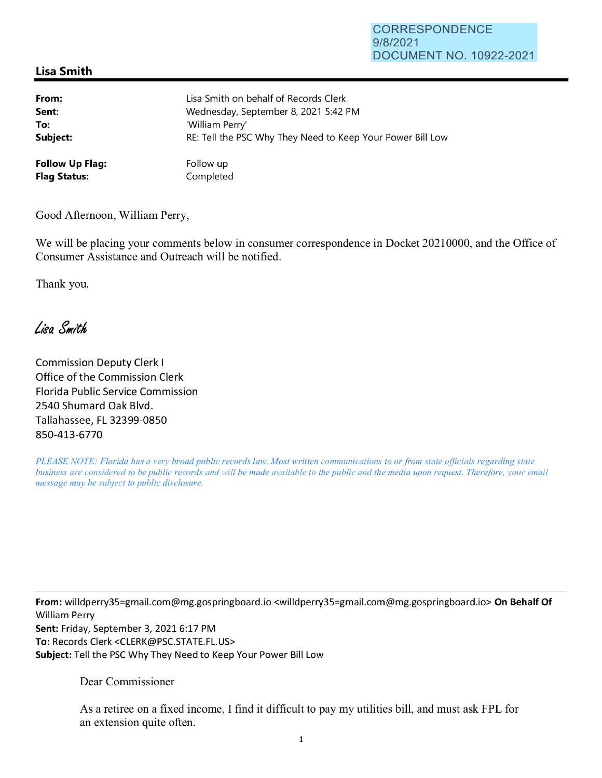## CORRESPONDENCE 9/8/2021 DOCUMENT NO. 10922-2021

## **Lisa Smith**

| From:                  | Lisa Smith on behalf of Records Clerk                      |
|------------------------|------------------------------------------------------------|
| Sent:                  | Wednesday, September 8, 2021 5:42 PM                       |
| To:                    | 'William Perry'                                            |
| Subject:               | RE: Tell the PSC Why They Need to Keep Your Power Bill Low |
| <b>Follow Up Flag:</b> | Follow up                                                  |
| <b>Flag Status:</b>    | Completed                                                  |

Good Afternoon, William Perry,

We will be placing your comments below in consumer correspondence in Docket 20210000, and the Office of Consumer Assistance and Outreach will be notified.

Thank you.

Lisa Smith

Commission Deputy Clerk I Office of the Commission Clerk Florida Public Service Commission 2540 Shumard Oak Blvd. Tallahassee, FL 32399-0850 850-413-6770

*PLEASE NOTE: Florida has a very broad public records law. Most written communications to or from state officials regarding state business are considered to be public records and will be made available to the public and the media upon request. Therefore, your email message may be subject to public disclosure.* 

**From:** willdperry35=gmail.com@mg.gospringboard.io <willdperry35=gmai1.com@mg.gospringboard.io> **On Behalf Of**  William Perry **Sent:** Friday, September 3, 2021 6:17 PM **To:** Records Clerk <CLERK@PSC.STATE.FL.US> **Subject:** Tell the PSC Why They Need to Keep Your Power Bill Low

Dear Commissioner

As a retiree on a fixed income, I find it difficult to pay my utilities bill, and must ask FPL for an extension quite often.